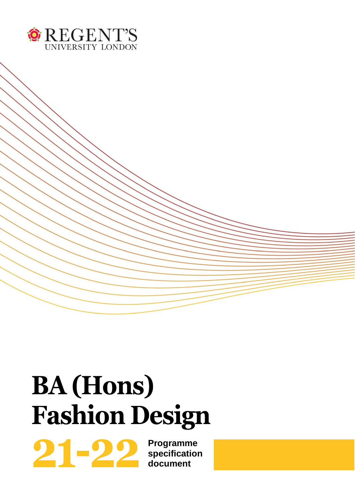

# **BA** (Hons) **Fashion Design**

**Programme specification document**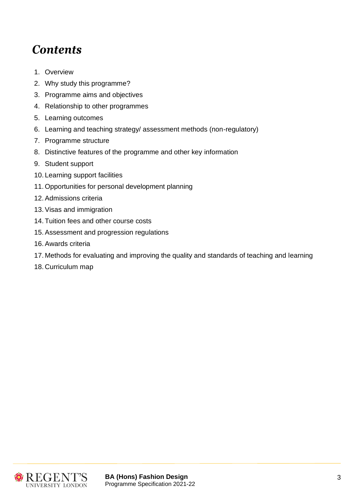# *Contents*

- 1. Overview
- 2. Why study this programme?
- 3. Programme aims and objectives
- 4. Relationship to other programmes
- 5. Learning outcomes
- 6. Learning and teaching strategy/ assessment methods (non-regulatory)
- 7. Programme structure
- 8. Distinctive features of the programme and other key information
- 9. Student support
- 10. Learning support facilities
- 11. Opportunities for personal development planning
- 12.Admissions criteria
- 13.Visas and immigration
- 14. Tuition fees and other course costs
- 15.Assessment and progression regulations
- 16.Awards criteria
- 17. Methods for evaluating and improving the quality and standards of teaching and learning
- 18. Curriculum map

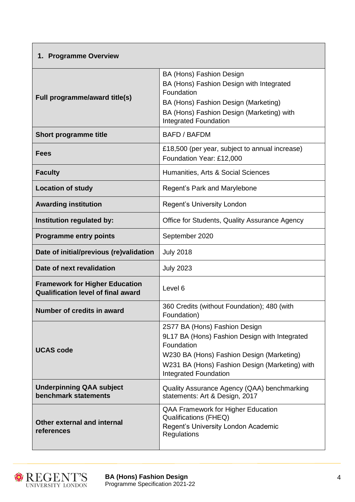| <b>Programme Overview</b><br>1.                                                    |                                                                                                                                                                                                                             |
|------------------------------------------------------------------------------------|-----------------------------------------------------------------------------------------------------------------------------------------------------------------------------------------------------------------------------|
| Full programme/award title(s)                                                      | BA (Hons) Fashion Design<br>BA (Hons) Fashion Design with Integrated<br>Foundation<br>BA (Hons) Fashion Design (Marketing)<br>BA (Hons) Fashion Design (Marketing) with<br><b>Integrated Foundation</b>                     |
| <b>Short programme title</b>                                                       | <b>BAFD / BAFDM</b>                                                                                                                                                                                                         |
| Fees                                                                               | £18,500 (per year, subject to annual increase)<br>Foundation Year: £12,000                                                                                                                                                  |
| <b>Faculty</b>                                                                     | Humanities, Arts & Social Sciences                                                                                                                                                                                          |
| <b>Location of study</b>                                                           | Regent's Park and Marylebone                                                                                                                                                                                                |
| <b>Awarding institution</b>                                                        | <b>Regent's University London</b>                                                                                                                                                                                           |
| Institution regulated by:                                                          | Office for Students, Quality Assurance Agency                                                                                                                                                                               |
| <b>Programme entry points</b>                                                      | September 2020                                                                                                                                                                                                              |
| Date of initial/previous (re)validation                                            | <b>July 2018</b>                                                                                                                                                                                                            |
| Date of next revalidation                                                          | <b>July 2023</b>                                                                                                                                                                                                            |
| <b>Framework for Higher Education</b><br><b>Qualification level of final award</b> | Level 6                                                                                                                                                                                                                     |
| <b>Number of credits in award</b>                                                  | 360 Credits (without Foundation); 480 (with<br>Foundation)                                                                                                                                                                  |
| <b>UCAS code</b>                                                                   | 2S77 BA (Hons) Fashion Design<br>9L17 BA (Hons) Fashion Design with Integrated<br>Foundation<br>W230 BA (Hons) Fashion Design (Marketing)<br>W231 BA (Hons) Fashion Design (Marketing) with<br><b>Integrated Foundation</b> |
| <b>Underpinning QAA subject</b><br>benchmark statements                            | Quality Assurance Agency (QAA) benchmarking<br>statements: Art & Design, 2017                                                                                                                                               |
| <b>Other external and internal</b><br>references                                   | QAA Framework for Higher Education<br><b>Qualifications (FHEQ)</b><br>Regent's University London Academic<br><b>Regulations</b>                                                                                             |

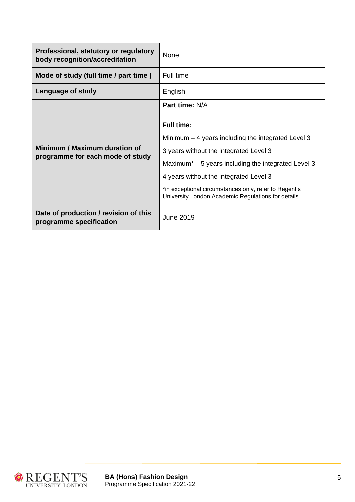| Professional, statutory or regulatory<br>body recognition/accreditation | None                                                                                                        |
|-------------------------------------------------------------------------|-------------------------------------------------------------------------------------------------------------|
| Mode of study (full time / part time)                                   | Full time                                                                                                   |
| Language of study                                                       | English                                                                                                     |
|                                                                         | Part time: N/A                                                                                              |
|                                                                         | <b>Full time:</b>                                                                                           |
|                                                                         | Minimum $-4$ years including the integrated Level 3                                                         |
| Minimum / Maximum duration of<br>programme for each mode of study       | 3 years without the integrated Level 3                                                                      |
|                                                                         | Maximum <sup><math>*</math></sup> – 5 years including the integrated Level 3                                |
|                                                                         | 4 years without the integrated Level 3                                                                      |
|                                                                         | *in exceptional circumstances only, refer to Regent's<br>University London Academic Regulations for details |
| Date of production / revision of this<br>programme specification        | <b>June 2019</b>                                                                                            |

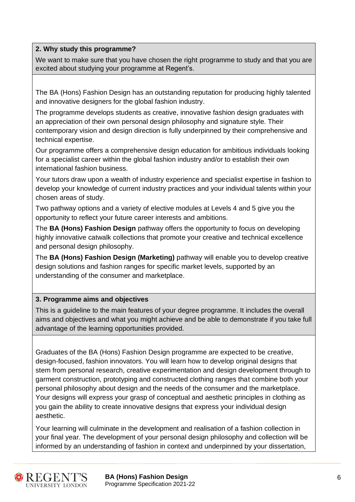# **2. Why study this programme?**

We want to make sure that you have chosen the right programme to study and that you are excited about studying your programme at Regent's.

The BA (Hons) Fashion Design has an outstanding reputation for producing highly talented and innovative designers for the global fashion industry.

The programme develops students as creative, innovative fashion design graduates with an appreciation of their own personal design philosophy and signature style. Their contemporary vision and design direction is fully underpinned by their comprehensive and technical expertise.

Our programme offers a comprehensive design education for ambitious individuals looking for a specialist career within the global fashion industry and/or to establish their own international fashion business.

Your tutors draw upon a wealth of industry experience and specialist expertise in fashion to develop your knowledge of current industry practices and your individual talents within your chosen areas of study.

Two pathway options and a variety of elective modules at Levels 4 and 5 give you the opportunity to reflect your future career interests and ambitions.

The **BA (Hons) Fashion Design** pathway offers the opportunity to focus on developing highly innovative catwalk collections that promote your creative and technical excellence and personal design philosophy.

The **BA (Hons) Fashion Design (Marketing)** pathway will enable you to develop creative design solutions and fashion ranges for specific market levels, supported by an understanding of the consumer and marketplace.

# **3. Programme aims and objectives**

This is a guideline to the main features of your degree programme. It includes the overall aims and objectives and what you might achieve and be able to demonstrate if you take full advantage of the learning opportunities provided.

Graduates of the BA (Hons) Fashion Design programme are expected to be creative, design-focused, fashion innovators. You will learn how to develop original designs that stem from personal research, creative experimentation and design development through to garment construction, prototyping and constructed clothing ranges that combine both your personal philosophy about design and the needs of the consumer and the marketplace. Your designs will express your grasp of conceptual and aesthetic principles in clothing as you gain the ability to create innovative designs that express your individual design aesthetic.

Your learning will culminate in the development and realisation of a fashion collection in your final year. The development of your personal design philosophy and collection will be informed by an understanding of fashion in context and underpinned by your dissertation,



**BA (Hons) Fashion Design** 6 Programme Specification 2021-22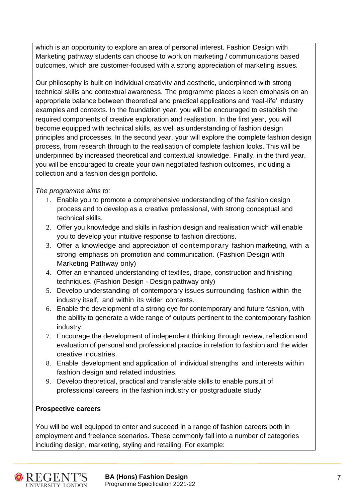which is an opportunity to explore an area of personal interest. Fashion Design with Marketing pathway students can choose to work on marketing / communications based outcomes, which are customer-focused with a strong appreciation of marketing issues.

Our philosophy is built on individual creativity and aesthetic, underpinned with strong technical skills and contextual awareness. The programme places a keen emphasis on an appropriate balance between theoretical and practical applications and 'real-life' industry examples and contexts. In the foundation year, you will be encouraged to establish the required components of creative exploration and realisation. In the first year, you will become equipped with technical skills, as well as understanding of fashion design principles and processes. In the second year, your will explore the complete fashion design process, from research through to the realisation of complete fashion looks. This will be underpinned by increased theoretical and contextual knowledge. Finally, in the third year, you will be encouraged to create your own negotiated fashion outcomes, including a collection and a fashion design portfolio.

*The programme aims to:*

- 1. Enable you to promote a comprehensive understanding of the fashion design process and to develop as a creative professional, with strong conceptual and technical skills.
- 2. Offer you knowledge and skills in fashion design and realisation which will enable you to develop your intuitive response to fashion directions.
- 3. Offer a knowledge and appreciation of contemporary fashion marketing, with a strong emphasis on promotion and communication. (Fashion Design with Marketing Pathway only)
- 4. Offer an enhanced understanding of textiles, drape, construction and finishing techniques. (Fashion Design - Design pathway only)
- 5. Develop understanding of contemporary issues surrounding fashion within the industry itself, and within its wider contexts.
- 6. Enable the development of a strong eye for contemporary and future fashion, with the ability to generate a wide range of outputs pertinent to the contemporary fashion industry.
- 7. Encourage the development of independent thinking through review, reflection and evaluation of personal and professional practice in relation to fashion and the wider creative industries.
- 8. Enable development and application of individual strengths and interests within fashion design and related industries.
- 9. Develop theoretical, practical and transferable skills to enable pursuit of professional careers in the fashion industry or postgraduate study.

# **Prospective careers**

You will be well equipped to enter and succeed in a range of fashion careers both in employment and freelance scenarios. These commonly fall into a number of categories including design, marketing, styling and retailing. For example:



**BA (Hons) Fashion Design** 7 Programme Specification 2021-22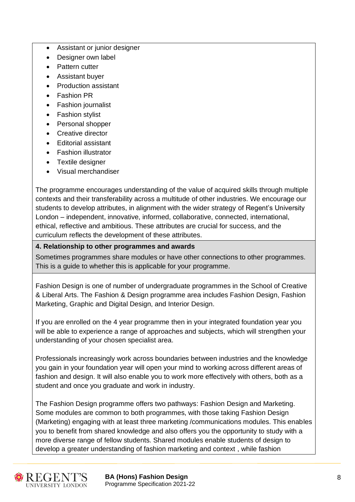- Assistant or junior designer
- Designer own label
- Pattern cutter
- Assistant buyer
- Production assistant
- **Fashion PR**
- Fashion journalist
- Fashion stylist
- Personal shopper
- Creative director
- Editorial assistant
- Fashion illustrator
- Textile designer
- Visual merchandiser

The programme encourages understanding of the value of acquired skills through multiple contexts and their transferability across a multitude of other industries. We encourage our students to develop attributes, in alignment with the wider strategy of Regent's University London – independent, innovative, informed, collaborative, connected, international, ethical, reflective and ambitious. These attributes are crucial for success, and the curriculum reflects the development of these attributes.

# **4. Relationship to other programmes and awards**

Sometimes programmes share modules or have other connections to other programmes. This is a guide to whether this is applicable for your programme.

Fashion Design is one of number of undergraduate programmes in the School of Creative & Liberal Arts. The Fashion & Design programme area includes Fashion Design, Fashion Marketing, Graphic and Digital Design, and Interior Design.

If you are enrolled on the 4 year programme then in your integrated foundation year you will be able to experience a range of approaches and subjects, which will strengthen your understanding of your chosen specialist area.

Professionals increasingly work across boundaries between industries and the knowledge you gain in your foundation year will open your mind to working across different areas of fashion and design. It will also enable you to work more effectively with others, both as a student and once you graduate and work in industry.

The Fashion Design programme offers two pathways: Fashion Design and Marketing. Some modules are common to both programmes, with those taking Fashion Design (Marketing) engaging with at least three marketing /communications modules. This enables you to benefit from shared knowledge and also offers you the opportunity to study with a more diverse range of fellow students. Shared modules enable students of design to develop a greater understanding of fashion marketing and context , while fashion



**BA (Hons) Fashion Design** 8 Programme Specification 2021-22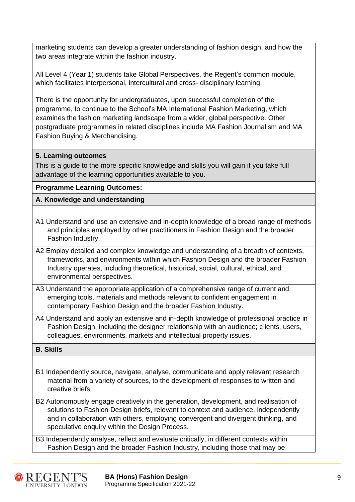marketing students can develop a greater understanding of fashion design, and how the two areas integrate within the fashion industry.

All Level 4 (Year 1) students take Global Perspectives, the Regent's common module, which facilitates interpersonal, intercultural and cross- disciplinary learning.

There is the opportunity for undergraduates, upon successful completion of the programme, to continue to the School's MA International Fashion Marketing, which examines the fashion marketing landscape from a wider, global perspective. Other postgraduate programmes in related disciplines include MA Fashion Journalism and MA Fashion Buying & Merchandising.

# **5. Learning outcomes**

This is a guide to the more specific knowledge and skills you will gain if you take full advantage of the learning opportunities available to you.

# **Programme Learning Outcomes:**

# **A. Knowledge and understanding**

- A1 Understand and use an extensive and in-depth knowledge of a broad range of methods and principles employed by other practitioners in Fashion Design and the broader Fashion Industry.
- A2 Employ detailed and complex knowledge and understanding of a breadth of contexts, frameworks, and environments within which Fashion Design and the broader Fashion Industry operates, including theoretical, historical, social, cultural, ethical, and environmental perspectives.
- A3 Understand the appropriate application of a comprehensive range of current and emerging tools, materials and methods relevant to confident engagement in contemporary Fashion Design and the broader Fashion Industry.
- A4 Understand and apply an extensive and in-depth knowledge of professional practice in Fashion Design, including the designer relationship with an audience; clients, users, colleagues, environments, markets and intellectual property issues.

#### **B. Skills**

- B1 Independently source, navigate, analyse, communicate and apply relevant research material from a variety of sources, to the development of responses to written and creative briefs.
- B2 Autonomously engage creatively in the generation, development, and realisation of solutions to Fashion Design briefs, relevant to context and audience, independently and in collaboration with others, employing convergent and divergent thinking, and speculative enquiry within the Design Process.

B3 Independently analyse, reflect and evaluate critically, in different contexts within Fashion Design and the broader Fashion Industry, including those that may be

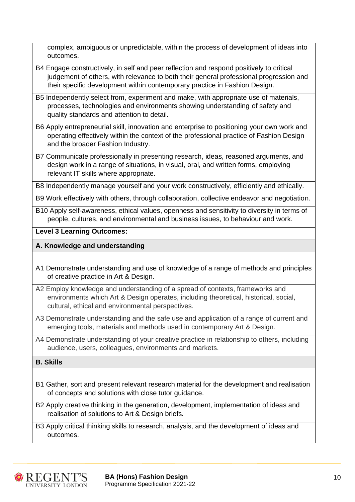complex, ambiguous or unpredictable, within the process of development of ideas into outcomes.

- B4 Engage constructively, in self and peer reflection and respond positively to critical judgement of others, with relevance to both their general professional progression and their specific development within contemporary practice in Fashion Design.
- B5 Independently select from, experiment and make, with appropriate use of materials, processes, technologies and environments showing understanding of safety and quality standards and attention to detail.
- B6 Apply entrepreneurial skill, innovation and enterprise to positioning your own work and operating effectively within the context of the professional practice of Fashion Design and the broader Fashion Industry.
- B7 Communicate professionally in presenting research, ideas, reasoned arguments, and design work in a range of situations, in visual, oral, and written forms, employing relevant IT skills where appropriate.
- B8 Independently manage yourself and your work constructively, efficiently and ethically.

B9 Work effectively with others, through collaboration, collective endeavor and negotiation.

B10 Apply self-awareness, ethical values, openness and sensitivity to diversity in terms of people, cultures, and environmental and business issues, to behaviour and work.

# **Level 3 Learning Outcomes:**

# **A. Knowledge and understanding**

- A1 Demonstrate understanding and use of knowledge of a range of methods and principles of creative practice in Art & Design.
- A2 Employ knowledge and understanding of a spread of contexts, frameworks and environments which Art & Design operates, including theoretical, historical, social, cultural, ethical and environmental perspectives.
- A3 Demonstrate understanding and the safe use and application of a range of current and emerging tools, materials and methods used in contemporary Art & Design.
- A4 Demonstrate understanding of your creative practice in relationship to others, including audience, users, colleagues, environments and markets.

# **B. Skills**

- B1 Gather, sort and present relevant research material for the development and realisation of concepts and solutions with close tutor guidance.
- B2 Apply creative thinking in the generation, development, implementation of ideas and realisation of solutions to Art & Design briefs.
- B3 Apply critical thinking skills to research, analysis, and the development of ideas and outcomes.

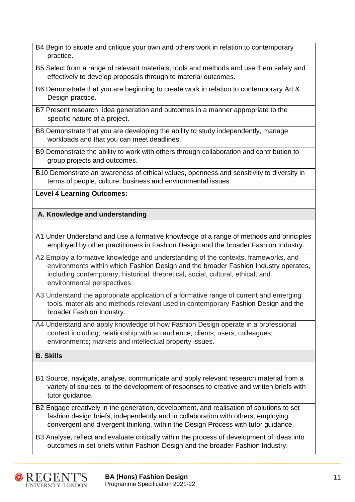- B4 Begin to situate and critique your own and others work in relation to contemporary practice.
- B5 Select from a range of relevant materials, tools and methods and use them safely and effectively to develop proposals through to material outcomes.
- B6 Demonstrate that you are beginning to create work in relation to contemporary Art & Design practice.
- B7 Present research, idea generation and outcomes in a manner appropriate to the specific nature of a project.
- B8 Demonstrate that you are developing the ability to study independently, manage workloads and that you can meet deadlines.
- B9 Demonstrate the ability to work with others through collaboration and contribution to group projects and outcomes.
- B10 Demonstrate an awareness of ethical values, openness and sensitivity to diversity in terms of people, culture, business and environmental issues.

**Level 4 Learning Outcomes:**

# **A. Knowledge and understanding**

- A1 Under Understand and use a formative knowledge of a range of methods and principles employed by other practitioners in Fashion Design and the broader Fashion Industry.
- A2 Employ a formative knowledge and understanding of the contexts, frameworks, and environments within which Fashion Design and the broader Fashion Industry operates, including contemporary, historical, theoretical, social, cultural, ethical, and environmental perspectives
- A3 Understand the appropriate application of a formative range of current and emerging tools, materials and methods relevant used in contemporary Fashion Design and the broader Fashion Industry.
- A4 Understand and apply knowledge of how Fashion Design operate in a professional context including; relationship with an audience; clients; users; colleagues; environments; markets and intellectual property issues.

# **B. Skills**

- B1 Source, navigate, analyse, communicate and apply relevant research material from a variety of sources, to the development of responses to creative and written briefs with tutor guidance.
- B2 Engage creatively in the generation, development, and realisation of solutions to set fashion design briefs, independently and in collaboration with others, employing convergent and divergent thinking, within the Design Process with tutor guidance.

B3 Analyse, reflect and evaluate critically within the process of development of ideas into outcomes in set briefs within Fashion Design and the broader Fashion Industry.

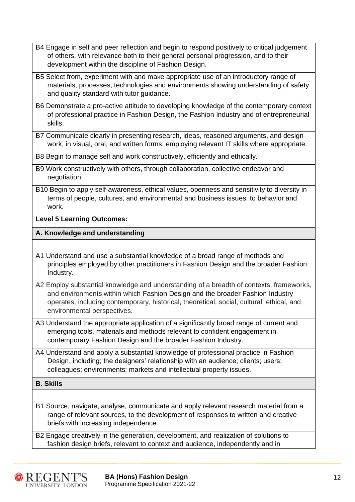- B4 Engage in self and peer reflection and begin to respond positively to critical judgement of others, with relevance both to their general personal progression, and to their development within the discipline of Fashion Design.
- B5 Select from, experiment with and make appropriate use of an introductory range of materials, processes, technologies and environments showing understanding of safety and quality standard with tutor guidance.
- B6 Demonstrate a pro-active attitude to developing knowledge of the contemporary context of professional practice in Fashion Design, the Fashion Industry and of entrepreneurial skills.
- B7 Communicate clearly in presenting research, ideas, reasoned arguments, and design work, in visual, oral, and written forms, employing relevant IT skills where appropriate.

B8 Begin to manage self and work constructively, efficiently and ethically.

- B9 Work constructively with others, through collaboration, collective endeavor and negotiation.
- B10 Begin to apply self-awareness, ethical values, openness and sensitivity to diversity in terms of people, cultures, and environmental and business issues, to behavior and work.

#### **Level 5 Learning Outcomes:**

#### **A. Knowledge and understanding**

- A1 Understand and use a substantial knowledge of a broad range of methods and principles employed by other practitioners in Fashion Design and the broader Fashion Industry.
- A2 Employ substantial knowledge and understanding of a breadth of contexts, frameworks, and environments within which Fashion Design and the broader Fashion Industry operates, including contemporary, historical, theoretical, social, cultural, ethical, and environmental perspectives.
- A3 Understand the appropriate application of a significantly broad range of current and emerging tools, materials and methods relevant to confident engagement in contemporary Fashion Design and the broader Fashion Industry.
- A4 Understand and apply a substantial knowledge of professional practice in Fashion Design, including; the designers' relationship with an audience; clients; users; colleagues; environments; markets and intellectual property issues.

#### **B. Skills**

B1 Source, navigate, analyse, communicate and apply relevant research material from a range of relevant sources, to the development of responses to written and creative briefs with increasing independence.

B2 Engage creatively in the generation, development, and realization of solutions to fashion design briefs, relevant to context and audience, independently and in

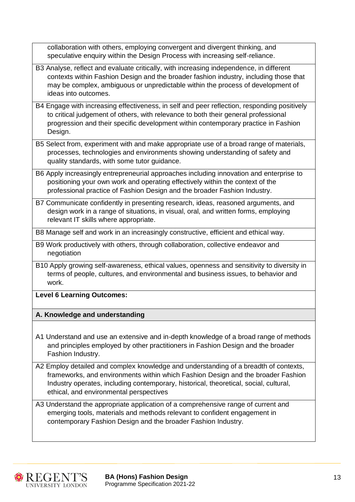| collaboration with others, employing convergent and divergent thinking, and<br>speculative enquiry within the Design Process with increasing self-reliance.                                                                                                                                                  |
|--------------------------------------------------------------------------------------------------------------------------------------------------------------------------------------------------------------------------------------------------------------------------------------------------------------|
| B3 Analyse, reflect and evaluate critically, with increasing independence, in different<br>contexts within Fashion Design and the broader fashion industry, including those that<br>may be complex, ambiguous or unpredictable within the process of development of                                          |
| ideas into outcomes.                                                                                                                                                                                                                                                                                         |
| B4 Engage with increasing effectiveness, in self and peer reflection, responding positively<br>to critical judgement of others, with relevance to both their general professional<br>progression and their specific development within contemporary practice in Fashion<br>Design.                           |
| B5 Select from, experiment with and make appropriate use of a broad range of materials,<br>processes, technologies and environments showing understanding of safety and<br>quality standards, with some tutor guidance.                                                                                      |
| B6 Apply increasingly entrepreneurial approaches including innovation and enterprise to<br>positioning your own work and operating effectively within the context of the<br>professional practice of Fashion Design and the broader Fashion Industry.                                                        |
| B7 Communicate confidently in presenting research, ideas, reasoned arguments, and<br>design work in a range of situations, in visual, oral, and written forms, employing<br>relevant IT skills where appropriate.                                                                                            |
| B8 Manage self and work in an increasingly constructive, efficient and ethical way.                                                                                                                                                                                                                          |
| B9 Work productively with others, through collaboration, collective endeavor and<br>negotiation                                                                                                                                                                                                              |
| B10 Apply growing self-awareness, ethical values, openness and sensitivity to diversity in<br>terms of people, cultures, and environmental and business issues, to behavior and<br>work.                                                                                                                     |
| <b>Level 6 Learning Outcomes:</b>                                                                                                                                                                                                                                                                            |
| A. Knowledge and understanding                                                                                                                                                                                                                                                                               |
| A1 Understand and use an extensive and in-depth knowledge of a broad range of methods<br>and principles employed by other practitioners in Fashion Design and the broader<br>Fashion Industry.                                                                                                               |
| A2 Employ detailed and complex knowledge and understanding of a breadth of contexts,<br>frameworks, and environments within which Fashion Design and the broader Fashion<br>Industry operates, including contemporary, historical, theoretical, social, cultural,<br>ethical, and environmental perspectives |
| A3 Understand the appropriate application of a comprehensive range of current and<br>emerging tools, materials and methods relevant to confident engagement in<br>contemporary Fashion Design and the broader Fashion Industry.                                                                              |

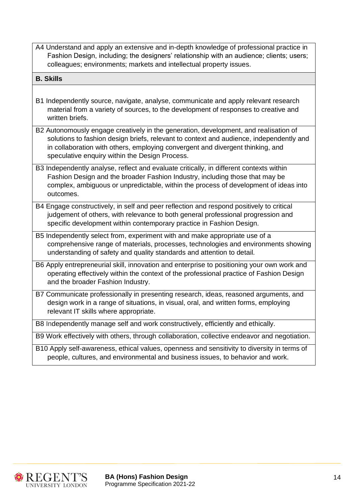A4 Understand and apply an extensive and in-depth knowledge of professional practice in Fashion Design, including; the designers' relationship with an audience; clients; users; colleagues; environments; markets and intellectual property issues.

#### **B. Skills**

- B1 Independently source, navigate, analyse, communicate and apply relevant research material from a variety of sources, to the development of responses to creative and written briefs.
- B2 Autonomously engage creatively in the generation, development, and realisation of solutions to fashion design briefs, relevant to context and audience, independently and in collaboration with others, employing convergent and divergent thinking, and speculative enquiry within the Design Process.
- B3 Independently analyse, reflect and evaluate critically, in different contexts within Fashion Design and the broader Fashion Industry, including those that may be complex, ambiguous or unpredictable, within the process of development of ideas into outcomes.
- B4 Engage constructively, in self and peer reflection and respond positively to critical judgement of others, with relevance to both general professional progression and specific development within contemporary practice in Fashion Design.
- B5 Independently select from, experiment with and make appropriate use of a comprehensive range of materials, processes, technologies and environments showing understanding of safety and quality standards and attention to detail.
- B6 Apply entrepreneurial skill, innovation and enterprise to positioning your own work and operating effectively within the context of the professional practice of Fashion Design and the broader Fashion Industry.
- B7 Communicate professionally in presenting research, ideas, reasoned arguments, and design work in a range of situations, in visual, oral, and written forms, employing relevant IT skills where appropriate.

B8 Independently manage self and work constructively, efficiently and ethically.

B9 Work effectively with others, through collaboration, collective endeavor and negotiation.

B10 Apply self-awareness, ethical values, openness and sensitivity to diversity in terms of people, cultures, and environmental and business issues, to behavior and work.



**BA (Hons) Fashion Design 14 April 14 April 14 April 14 April 14 April 14 April 14 April 14 April 14 April 14 April 14 April 14 April 14 April 14 April 14 April 14 April 14 April 15 April 16 April 16 April 16 April 16 Apri** Programme Specification 2021-22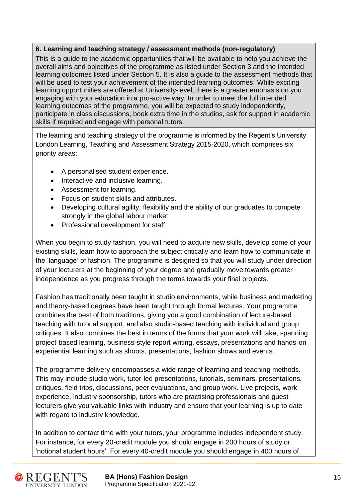# **6. Learning and teaching strategy / assessment methods (non-regulatory)**

This is a guide to the academic opportunities that will be available to help you achieve the overall aims and objectives of the programme as listed under Section 3 and the intended learning outcomes listed under Section 5. It is also a guide to the assessment methods that will be used to test your achievement of the intended learning outcomes. While exciting learning opportunities are offered at University-level, there is a greater emphasis on you engaging with your education in a pro-active way. In order to meet the full intended learning outcomes of the programme, you will be expected to study independently, participate in class discussions, book extra time in the studios, ask for support in academic skills if required and engage with personal tutors.

The learning and teaching strategy of the programme is informed by the Regent's University London Learning, Teaching and Assessment Strategy 2015-2020, which comprises six priority areas:

- A personalised student experience.
- Interactive and inclusive learning.
- Assessment for learning.
- Focus on student skills and attributes.
- Developing cultural agility, flexibility and the ability of our graduates to compete strongly in the global labour market.
- Professional development for staff.

When you begin to study fashion, you will need to acquire new skills, develop some of your existing skills, learn how to approach the subject critically and learn how to communicate in the 'language' of fashion. The programme is designed so that you will study under direction of your lecturers at the beginning of your degree and gradually move towards greater independence as you progress through the terms towards your final projects.

Fashion has traditionally been taught in studio environments, while business and marketing and theory-based degrees have been taught through formal lectures. Your programme combines the best of both traditions, giving you a good combination of lecture-based teaching with tutorial support, and also studio-based teaching with individual and group critiques. It also combines the best in terms of the forms that your work will take, spanning project-based learning, business-style report writing, essays, presentations and hands-on experiential learning such as shoots, presentations, fashion shows and events.

The programme delivery encompasses a wide range of learning and teaching methods. This may include studio work, tutor-led presentations, tutorials, seminars, presentations, critiques, field trips, discussions, peer evaluations, and group work. Live projects, work experience, industry sponsorship, tutors who are practising professionals and guest lecturers give you valuable links with industry and ensure that your learning is up to date with regard to industry knowledge.

In addition to contact time with your tutors, your programme includes independent study. For instance, for every 20-credit module you should engage in 200 hours of study or 'notional student hours'. For every 40-credit module you should engage in 400 hours of



**BA (Hons) Fashion Design 15 and 16 and 16 and 16 and 16 and 16 and 16 and 16 and 16 and 16 and 16 and 16 and 16** Programme Specification 2021-22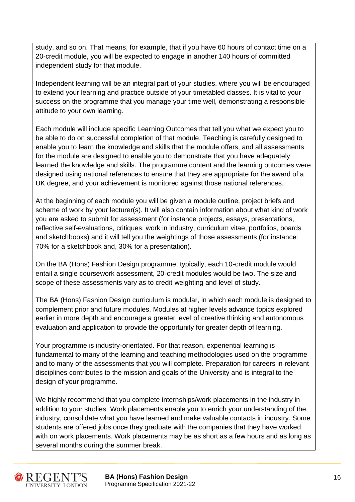study, and so on. That means, for example, that if you have 60 hours of contact time on a 20-credit module, you will be expected to engage in another 140 hours of committed independent study for that module.

Independent learning will be an integral part of your studies, where you will be encouraged to extend your learning and practice outside of your timetabled classes. It is vital to your success on the programme that you manage your time well, demonstrating a responsible attitude to your own learning.

Each module will include specific Learning Outcomes that tell you what we expect you to be able to do on successful completion of that module. Teaching is carefully designed to enable you to learn the knowledge and skills that the module offers, and all assessments for the module are designed to enable you to demonstrate that you have adequately learned the knowledge and skills. The programme content and the learning outcomes were designed using national references to ensure that they are appropriate for the award of a UK degree, and your achievement is monitored against those national references.

At the beginning of each module you will be given a module outline, project briefs and scheme of work by your lecturer(s). It will also contain information about what kind of work you are asked to submit for assessment (for instance projects, essays, presentations, reflective self-evaluations, critiques, work in industry, curriculum vitae, portfolios, boards and sketchbooks) and it will tell you the weightings of those assessments (for instance: 70% for a sketchbook and, 30% for a presentation).

On the BA (Hons) Fashion Design programme, typically, each 10-credit module would entail a single coursework assessment, 20-credit modules would be two. The size and scope of these assessments vary as to credit weighting and level of study.

The BA (Hons) Fashion Design curriculum is modular, in which each module is designed to complement prior and future modules. Modules at higher levels advance topics explored earlier in more depth and encourage a greater level of creative thinking and autonomous evaluation and application to provide the opportunity for greater depth of learning.

Your programme is industry-orientated. For that reason, experiential learning is fundamental to many of the learning and teaching methodologies used on the programme and to many of the assessments that you will complete. Preparation for careers in relevant disciplines contributes to the mission and goals of the University and is integral to the design of your programme.

We highly recommend that you complete internships/work placements in the industry in addition to your studies. Work placements enable you to enrich your understanding of the industry, consolidate what you have learned and make valuable contacts in industry. Some students are offered jobs once they graduate with the companies that they have worked with on work placements. Work placements may be as short as a few hours and as long as several months during the summer break.



**BA (Hons) Fashion Design** 16 Programme Specification 2021-22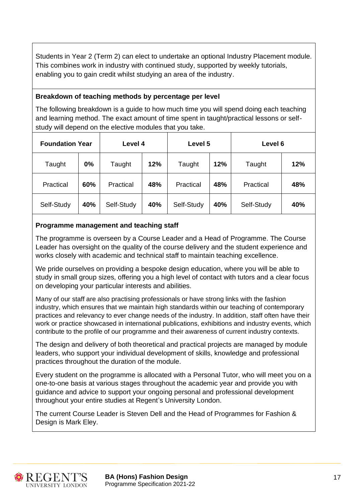Students in Year 2 (Term 2) can elect to undertake an optional Industry Placement module. This combines work in industry with continued study, supported by weekly tutorials, enabling you to gain credit whilst studying an area of the industry.

# **Breakdown of teaching methods by percentage per level**

The following breakdown is a guide to how much time you will spend doing each teaching and learning method. The exact amount of time spent in taught/practical lessons or selfstudy will depend on the elective modules that you take.

| <b>Foundation Year</b> |     | Level 4    |     | Level 5    |     | Level 6    |     |  |  |  |  |
|------------------------|-----|------------|-----|------------|-----|------------|-----|--|--|--|--|
| Taught                 | 0%  | Taught     | 12% | Taught     | 12% | Taught     | 12% |  |  |  |  |
| Practical              | 60% | Practical  | 48% | Practical  | 48% | Practical  | 48% |  |  |  |  |
| Self-Study             | 40% | Self-Study | 40% | Self-Study | 40% | Self-Study | 40% |  |  |  |  |

# **Programme management and teaching staff**

The programme is overseen by a Course Leader and a Head of Programme. The Course Leader has oversight on the quality of the course delivery and the student experience and works closely with academic and technical staff to maintain teaching excellence.

We pride ourselves on providing a bespoke design education, where you will be able to study in small group sizes, offering you a high level of contact with tutors and a clear focus on developing your particular interests and abilities.

Many of our staff are also practising professionals or have strong links with the fashion industry, which ensures that we maintain high standards within our teaching of contemporary practices and relevancy to ever change needs of the industry. In addition, staff often have their work or practice showcased in international publications, exhibitions and industry events, which contribute to the profile of our programme and their awareness of current industry contexts.

The design and delivery of both theoretical and practical projects are managed by module leaders, who support your individual development of skills, knowledge and professional practices throughout the duration of the module.

Every student on the programme is allocated with a Personal Tutor, who will meet you on a one-to-one basis at various stages throughout the academic year and provide you with guidance and advice to support your ongoing personal and professional development throughout your entire studies at Regent's University London.

The current Course Leader is Steven Dell and the Head of Programmes for Fashion & Design is Mark Eley.



**BA (Hons) Fashion Design 17 (1898)** 17 Programme Specification 2021-22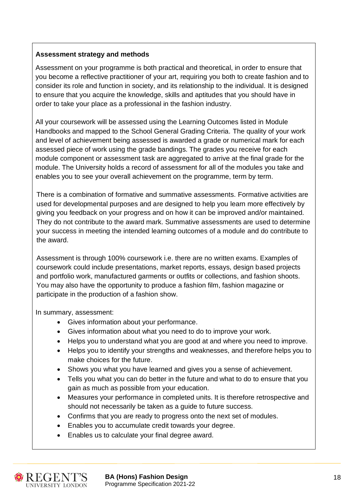# **Assessment strategy and methods**

Assessment on your programme is both practical and theoretical, in order to ensure that you become a reflective practitioner of your art, requiring you both to create fashion and to consider its role and function in society, and its relationship to the individual. It is designed to ensure that you acquire the knowledge, skills and aptitudes that you should have in order to take your place as a professional in the fashion industry.

All your coursework will be assessed using the Learning Outcomes listed in Module Handbooks and mapped to the School General Grading Criteria. The quality of your work and level of achievement being assessed is awarded a grade or numerical mark for each assessed piece of work using the grade bandings. The grades you receive for each module component or assessment task are aggregated to arrive at the final grade for the module. The University holds a record of assessment for all of the modules you take and enables you to see your overall achievement on the programme, term by term.

There is a combination of formative and summative assessments. Formative activities are used for developmental purposes and are designed to help you learn more effectively by giving you feedback on your progress and on how it can be improved and/or maintained. They do not contribute to the award mark. Summative assessments are used to determine your success in meeting the intended learning outcomes of a module and do contribute to the award.

Assessment is through 100% coursework i.e. there are no written exams. Examples of coursework could include presentations, market reports, essays, design based projects and portfolio work, manufactured garments or outfits or collections, and fashion shoots. You may also have the opportunity to produce a fashion film, fashion magazine or participate in the production of a fashion show.

In summary, assessment:

- Gives information about your performance.
- Gives information about what you need to do to improve your work.
- Helps you to understand what you are good at and where you need to improve.
- Helps you to identify your strengths and weaknesses, and therefore helps you to make choices for the future.
- Shows you what you have learned and gives you a sense of achievement.
- Tells you what you can do better in the future and what to do to ensure that you gain as much as possible from your education.
- Measures your performance in completed units. It is therefore retrospective and should not necessarily be taken as a guide to future success.
- Confirms that you are ready to progress onto the next set of modules.
- Enables you to accumulate credit towards your degree.
- Enables us to calculate your final degree award.



**BA (Hons) Fashion Design** 18 Programme Specification 2021-22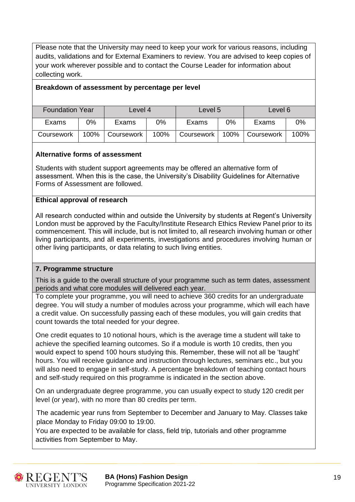Please note that the University may need to keep your work for various reasons, including audits, validations and for External Examiners to review. You are advised to keep copies of your work wherever possible and to contact the Course Leader for information about collecting work.

#### **Breakdown of assessment by percentage per level**

| <b>Foundation Year</b> |       | Level 4    |      | Level 5    |      | Level 6    |      |  |  |  |
|------------------------|-------|------------|------|------------|------|------------|------|--|--|--|
| Exams                  | $0\%$ | Exams      | 0%   | Exams      | 0%   | Exams      | 0%   |  |  |  |
| Coursework             | 100%  | Coursework | 100% | Coursework | 100% | Coursework | 100% |  |  |  |

#### **Alternative forms of assessment**

Students with student support agreements may be offered an alternative form of assessment. When this is the case, the University's Disability Guidelines for Alternative Forms of Assessment are followed.

#### **Ethical approval of research**

All research conducted within and outside the University by students at Regent's University London must be approved by the Faculty/Institute Research Ethics Review Panel prior to its commencement. This will include, but is not limited to, all research involving human or other living participants, and all experiments, investigations and procedures involving human or other living participants, or data relating to such living entities.

#### **7. Programme structure**

This is a guide to the overall structure of your programme such as term dates, assessment periods and what core modules will delivered each year.

To complete your programme, you will need to achieve 360 credits for an undergraduate degree. You will study a number of modules across your programme, which will each have a credit value. On successfully passing each of these modules, you will gain credits that count towards the total needed for your degree.

One credit equates to 10 notional hours, which is the average time a student will take to achieve the specified learning outcomes. So if a module is worth 10 credits, then you would expect to spend 100 hours studying this. Remember, these will not all be 'taught' hours. You will receive guidance and instruction through lectures, seminars etc., but you will also need to engage in self-study. A percentage breakdown of teaching contact hours and self-study required on this programme is indicated in the section above.

On an undergraduate degree programme, you can usually expect to study 120 credit per level (or year), with no more than 80 credits per term.

The academic year runs from September to December and January to May. Classes take place Monday to Friday 09:00 to 19:00.

You are expected to be available for class, field trip, tutorials and other programme activities from September to May.



**BA (Hons) Fashion Design** 19 Programme Specification 2021-22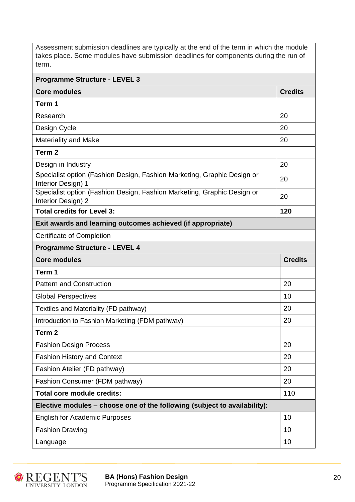Assessment submission deadlines are typically at the end of the term in which the module takes place. Some modules have submission deadlines for components during the run of term.

| <b>Programme Structure - LEVEL 3</b>                                                          |                |
|-----------------------------------------------------------------------------------------------|----------------|
| <b>Core modules</b>                                                                           | <b>Credits</b> |
| Term 1                                                                                        |                |
| Research                                                                                      | 20             |
| Design Cycle                                                                                  | 20             |
| <b>Materiality and Make</b>                                                                   | 20             |
| Term <sub>2</sub>                                                                             |                |
| Design in Industry                                                                            | 20             |
| Specialist option (Fashion Design, Fashion Marketing, Graphic Design or<br>Interior Design) 1 | 20             |
| Specialist option (Fashion Design, Fashion Marketing, Graphic Design or<br>Interior Design) 2 | 20             |
| <b>Total credits for Level 3:</b>                                                             | 120            |
| Exit awards and learning outcomes achieved (if appropriate)                                   |                |
| <b>Certificate of Completion</b>                                                              |                |
| <b>Programme Structure - LEVEL 4</b>                                                          |                |
| <b>Core modules</b>                                                                           | <b>Credits</b> |
| Term 1                                                                                        |                |
| <b>Pattern and Construction</b>                                                               | 20             |
| <b>Global Perspectives</b>                                                                    | 10             |
| Textiles and Materiality (FD pathway)                                                         | 20             |
| Introduction to Fashion Marketing (FDM pathway)                                               | 20             |
| Term <sub>2</sub>                                                                             |                |
| <b>Fashion Design Process</b>                                                                 | 20             |
| <b>Fashion History and Context</b>                                                            | 20             |
| Fashion Atelier (FD pathway)                                                                  | 20             |
| Fashion Consumer (FDM pathway)                                                                | 20             |
| Total core module credits:                                                                    | 110            |
| Elective modules - choose one of the following (subject to availability):                     |                |
| <b>English for Academic Purposes</b>                                                          | 10             |
| <b>Fashion Drawing</b>                                                                        | 10             |
| Language                                                                                      | 10             |



**BA (Hons) Fashion Design** 20 Programme Specification 2021-22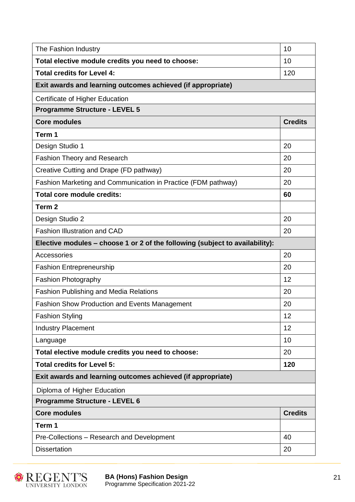| The Fashion Industry                                                         | 10             |
|------------------------------------------------------------------------------|----------------|
| Total elective module credits you need to choose:                            | 10             |
| <b>Total credits for Level 4:</b>                                            | 120            |
| Exit awards and learning outcomes achieved (if appropriate)                  |                |
| Certificate of Higher Education                                              |                |
| <b>Programme Structure - LEVEL 5</b>                                         |                |
| <b>Core modules</b>                                                          | <b>Credits</b> |
| Term 1                                                                       |                |
| Design Studio 1                                                              | 20             |
| <b>Fashion Theory and Research</b>                                           | 20             |
| Creative Cutting and Drape (FD pathway)                                      | 20             |
| Fashion Marketing and Communication in Practice (FDM pathway)                | 20             |
| <b>Total core module credits:</b>                                            | 60             |
| Term <sub>2</sub>                                                            |                |
| Design Studio 2                                                              | 20             |
| <b>Fashion Illustration and CAD</b>                                          | 20             |
| Elective modules - choose 1 or 2 of the following (subject to availability): |                |
| Accessories                                                                  | 20             |
| <b>Fashion Entrepreneurship</b>                                              | 20             |
| <b>Fashion Photography</b>                                                   | 12             |
| <b>Fashion Publishing and Media Relations</b>                                | 20             |
| <b>Fashion Show Production and Events Management</b>                         | 20             |
| <b>Fashion Styling</b>                                                       | 12             |
| <b>Industry Placement</b>                                                    | 12             |
| Language                                                                     | 10             |
| Total elective module credits you need to choose:                            | 20             |
| <b>Total credits for Level 5:</b>                                            | 120            |
| Exit awards and learning outcomes achieved (if appropriate)                  |                |
| Diploma of Higher Education                                                  |                |
| <b>Programme Structure - LEVEL 6</b>                                         |                |
| <b>Core modules</b>                                                          | <b>Credits</b> |
| Term 1                                                                       |                |
| Pre-Collections - Research and Development                                   | 40             |
| <b>Dissertation</b>                                                          | 20             |



**BA (Hons) Fashion Design** 21 Programme Specification 2021-22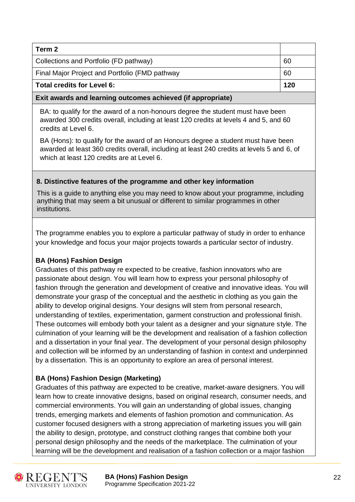| Term 2                                                |     |  |  |  |  |
|-------------------------------------------------------|-----|--|--|--|--|
| Collections and Portfolio (FD pathway)                | 60  |  |  |  |  |
| Final Major Project and Portfolio (FMD pathway<br>-60 |     |  |  |  |  |
| Total credits for Level 6:                            | 120 |  |  |  |  |

#### **Exit awards and learning outcomes achieved (if appropriate)**

BA: to qualify for the award of a non-honours degree the student must have been awarded 300 credits overall, including at least 120 credits at levels 4 and 5, and 60 credits at Level 6.

BA (Hons): to qualify for the award of an Honours degree a student must have been awarded at least 360 credits overall, including at least 240 credits at levels 5 and 6, of which at least 120 credits are at Level 6.

#### **8. Distinctive features of the programme and other key information**

This is a guide to anything else you may need to know about your programme, including anything that may seem a bit unusual or different to similar programmes in other institutions.

The programme enables you to explore a particular pathway of study in order to enhance your knowledge and focus your major projects towards a particular sector of industry.

#### **BA (Hons) Fashion Design**

Graduates of this pathway re expected to be creative, fashion innovators who are passionate about design. You will learn how to express your personal philosophy of fashion through the generation and development of creative and innovative ideas. You will demonstrate your grasp of the conceptual and the aesthetic in clothing as you gain the ability to develop original designs. Your designs will stem from personal research, understanding of textiles, experimentation, garment construction and professional finish. These outcomes will embody both your talent as a designer and your signature style. The culmination of your learning will be the development and realisation of a fashion collection and a dissertation in your final year. The development of your personal design philosophy and collection will be informed by an understanding of fashion in context and underpinned by a dissertation. This is an opportunity to explore an area of personal interest.

# **BA (Hons) Fashion Design (Marketing)**

Graduates of this pathway are expected to be creative, market-aware designers. You will learn how to create innovative designs, based on original research, consumer needs, and commercial environments. You will gain an understanding of global issues, changing trends, emerging markets and elements of fashion promotion and communication. As customer focused designers with a strong appreciation of marketing issues you will gain the ability to design, prototype, and construct clothing ranges that combine both your personal design philosophy and the needs of the marketplace. The culmination of your learning will be the development and realisation of a fashion collection or a major fashion



**BA (Hons) Fashion Design** 22 Programme Specification 2021-22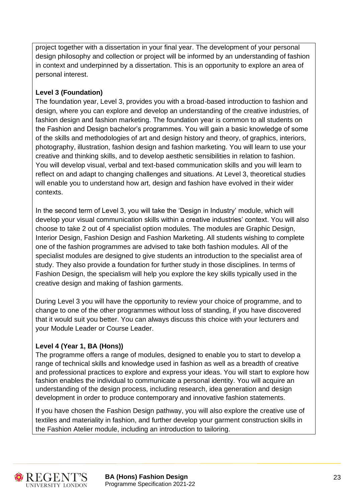project together with a dissertation in your final year. The development of your personal design philosophy and collection or project will be informed by an understanding of fashion in context and underpinned by a dissertation. This is an opportunity to explore an area of personal interest.

# **Level 3 (Foundation)**

The foundation year, Level 3, provides you with a broad-based introduction to fashion and design, where you can explore and develop an understanding of the creative industries, of fashion design and fashion marketing. The foundation year is common to all students on the Fashion and Design bachelor's programmes. You will gain a basic knowledge of some of the skills and methodologies of art and design history and theory, of graphics, interiors, photography, illustration, fashion design and fashion marketing. You will learn to use your creative and thinking skills, and to develop aesthetic sensibilities in relation to fashion. You will develop visual, verbal and text-based communication skills and you will learn to reflect on and adapt to changing challenges and situations. At Level 3, theoretical studies will enable you to understand how art, design and fashion have evolved in their wider contexts.

In the second term of Level 3, you will take the 'Design in Industry' module, which will develop your visual communication skills within a creative industries' context. You will also choose to take 2 out of 4 specialist option modules. The modules are Graphic Design, Interior Design, Fashion Design and Fashion Marketing. All students wishing to complete one of the fashion programmes are advised to take both fashion modules. All of the specialist modules are designed to give students an introduction to the specialist area of study. They also provide a foundation for further study in those disciplines. In terms of Fashion Design, the specialism will help you explore the key skills typically used in the creative design and making of fashion garments.

During Level 3 you will have the opportunity to review your choice of programme, and to change to one of the other programmes without loss of standing, if you have discovered that it would suit you better. You can always discuss this choice with your lecturers and your Module Leader or Course Leader.

# **Level 4 (Year 1, BA (Hons))**

The programme offers a range of modules, designed to enable you to start to develop a range of technical skills and knowledge used in fashion as well as a breadth of creative and professional practices to explore and express your ideas. You will start to explore how fashion enables the individual to communicate a personal identity. You will acquire an understanding of the design process, including research, idea generation and design development in order to produce contemporary and innovative fashion statements.

If you have chosen the Fashion Design pathway, you will also explore the creative use of textiles and materiality in fashion, and further develop your garment construction skills in the Fashion Atelier module, including an introduction to tailoring.



**BA (Hons) Fashion Design** 23 Programme Specification 2021-22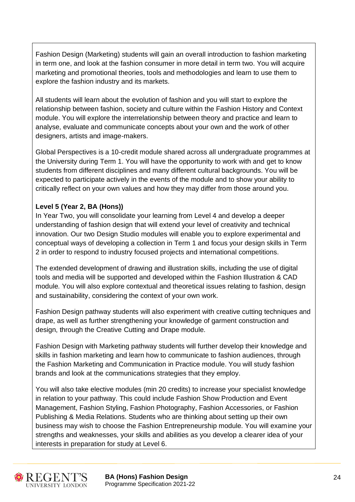Fashion Design (Marketing) students will gain an overall introduction to fashion marketing in term one, and look at the fashion consumer in more detail in term two. You will acquire marketing and promotional theories, tools and methodologies and learn to use them to explore the fashion industry and its markets.

All students will learn about the evolution of fashion and you will start to explore the relationship between fashion, society and culture within the Fashion History and Context module. You will explore the interrelationship between theory and practice and learn to analyse, evaluate and communicate concepts about your own and the work of other designers, artists and image-makers.

Global Perspectives is a 10-credit module shared across all undergraduate programmes at the University during Term 1. You will have the opportunity to work with and get to know students from different disciplines and many different cultural backgrounds. You will be expected to participate actively in the events of the module and to show your ability to critically reflect on your own values and how they may differ from those around you.

# **Level 5 (Year 2, BA (Hons))**

In Year Two, you will consolidate your learning from Level 4 and develop a deeper understanding of fashion design that will extend your level of creativity and technical innovation. Our two Design Studio modules will enable you to explore experimental and conceptual ways of developing a collection in Term 1 and focus your design skills in Term 2 in order to respond to industry focused projects and international competitions.

The extended development of drawing and illustration skills, including the use of digital tools and media will be supported and developed within the Fashion Illustration & CAD module*.* You will also explore contextual and theoretical issues relating to fashion, design and sustainability, considering the context of your own work.

Fashion Design pathway students will also experiment with creative cutting techniques and drape, as well as further strengthening your knowledge of garment construction and design, through the Creative Cutting and Drape module.

Fashion Design with Marketing pathway students will further develop their knowledge and skills in fashion marketing and learn how to communicate to fashion audiences, through the Fashion Marketing and Communication in Practice module. You will study fashion brands and look at the communications strategies that they employ.

You will also take elective modules (min 20 credits) to increase your specialist knowledge in relation to your pathway. This could include Fashion Show Production and Event Management, Fashion Styling, Fashion Photography, Fashion Accessories, or Fashion Publishing & Media Relations. Students who are thinking about setting up their own business may wish to choose the Fashion Entrepreneurship module. You will examine your strengths and weaknesses, your skills and abilities as you develop a clearer idea of your interests in preparation for study at Level 6.



**BA (Hons) Fashion Design** 24 Programme Specification 2021-22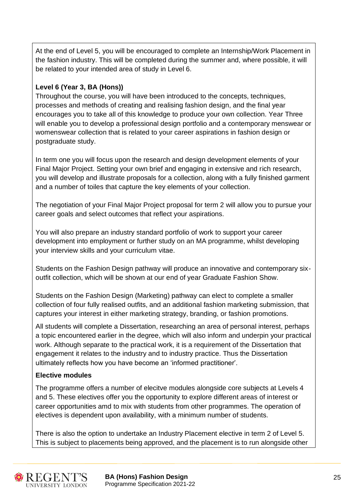At the end of Level 5, you will be encouraged to complete an Internship/Work Placement in the fashion industry. This will be completed during the summer and, where possible, it will be related to your intended area of study in Level 6.

# **Level 6 (Year 3, BA (Hons))**

Throughout the course, you will have been introduced to the concepts, techniques, processes and methods of creating and realising fashion design, and the final year encourages you to take all of this knowledge to produce your own collection. Year Three will enable you to develop a professional design portfolio and a contemporary menswear or womenswear collection that is related to your career aspirations in fashion design or postgraduate study.

In term one you will focus upon the research and design development elements of your Final Major Project. Setting your own brief and engaging in extensive and rich research, you will develop and illustrate proposals for a collection, along with a fully finished garment and a number of toiles that capture the key elements of your collection.

The negotiation of your Final Major Project proposal for term 2 will allow you to pursue your career goals and select outcomes that reflect your aspirations.

You will also prepare an industry standard portfolio of work to support your career development into employment or further study on an MA programme, whilst developing your interview skills and your curriculum vitae.

Students on the Fashion Design pathway will produce an innovative and contemporary sixoutfit collection, which will be shown at our end of year Graduate Fashion Show.

Students on the Fashion Design (Marketing) pathway can elect to complete a smaller collection of four fully realised outfits, and an additional fashion marketing submission, that captures your interest in either marketing strategy, branding, or fashion promotions.

All students will complete a Dissertation, researching an area of personal interest, perhaps a topic encountered earlier in the degree, which will also inform and underpin your practical work. Although separate to the practical work, it is a requirement of the Dissertation that engagement it relates to the industry and to industry practice. Thus the Dissertation ultimately reflects how you have become an 'informed practitioner'.

# **Elective modules**

The programme offers a number of elecitve modules alongside core subjects at Levels 4 and 5. These electives offer you the opportunity to explore different areas of interest or career opportunities amd to mix with students from other programmes. The operation of electives is dependent upon availability, with a minimum number of students.

There is also the option to undertake an Industry Placement elective in term 2 of Level 5. This is subject to placements being approved, and the placement is to run alongside other



**BA (Hons) Fashion Design** 25 Programme Specification 2021-22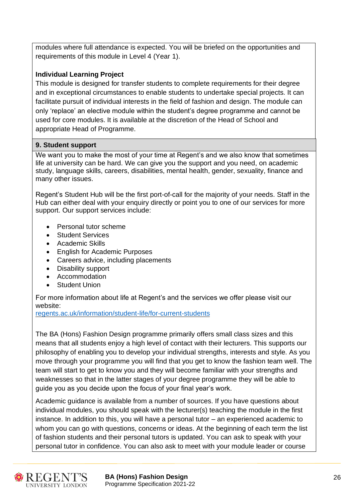modules where full attendance is expected. You will be briefed on the opportunities and requirements of this module in Level 4 (Year 1).

# **Individual Learning Project**

This module is designed for transfer students to complete requirements for their degree and in exceptional circumstances to enable students to undertake special projects. It can facilitate pursuit of individual interests in the field of fashion and design. The module can only 'replace' an elective module within the student's degree programme and cannot be used for core modules. It is available at the discretion of the Head of School and appropriate Head of Programme.

#### **9. Student support**

We want you to make the most of your time at Regent's and we also know that sometimes life at university can be hard. We can give you the support and you need, on academic study, language skills, careers, disabilities, mental health, gender, sexuality, finance and many other issues.

Regent's Student Hub will be the first port-of-call for the majority of your needs. Staff in the Hub can either deal with your enquiry directly or point you to one of our services for more support. Our support services include:

- Personal tutor scheme
- **Student Services**
- Academic Skills
- English for Academic Purposes
- Careers advice, including placements
- Disability support
- Accommodation
- **Student Union**

For more information about life at Regent's and the services we offer please visit our website:

[regents.ac.uk/information/student-life/for-current-students](https://www.regents.ac.uk/information/student-life/for-current-students)

The BA (Hons) Fashion Design programme primarily offers small class sizes and this means that all students enjoy a high level of contact with their lecturers. This supports our philosophy of enabling you to develop your individual strengths, interests and style. As you move through your programme you will find that you get to know the fashion team well. The team will start to get to know you and they will become familiar with your strengths and weaknesses so that in the latter stages of your degree programme they will be able to guide you as you decide upon the focus of your final year's work.

Academic guidance is available from a number of sources. If you have questions about individual modules, you should speak with the lecturer(s) teaching the module in the first instance. In addition to this, you will have a personal tutor – an experienced academic to whom you can go with questions, concerns or ideas. At the beginning of each term the list of fashion students and their personal tutors is updated. You can ask to speak with your personal tutor in confidence. You can also ask to meet with your module leader or course



**BA (Hons) Fashion Design** 26 Programme Specification 2021-22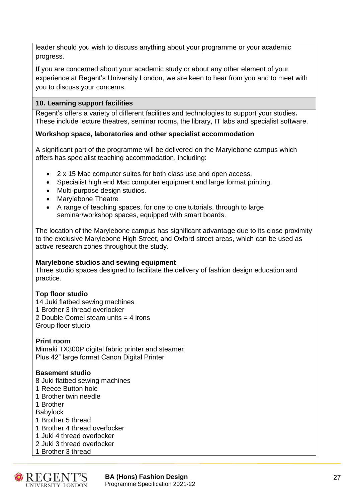leader should you wish to discuss anything about your programme or your academic progress.

If you are concerned about your academic study or about any other element of your experience at Regent's University London, we are keen to hear from you and to meet with you to discuss your concerns.

# **10. Learning support facilities**

Regent's offers a variety of different facilities and technologies to support your studies**.**  These include lecture theatres, seminar rooms, the library, IT labs and specialist software.

# **Workshop space, laboratories and other specialist accommodation**

A significant part of the programme will be delivered on the Marylebone campus which offers has specialist teaching accommodation, including:

- 2 x 15 Mac computer suites for both class use and open access.
- Specialist high end Mac computer equipment and large format printing.
- Multi-purpose design studios.
- Marylebone Theatre
- A range of teaching spaces, for one to one tutorials, through to large seminar/workshop spaces, equipped with smart boards.

The location of the Marylebone campus has significant advantage due to its close proximity to the exclusive Marylebone High Street, and Oxford street areas, which can be used as active research zones throughout the study.

#### **Marylebone studios and sewing equipment**

Three studio spaces designed to facilitate the delivery of fashion design education and practice.

#### **Top floor studio**

14 Juki flatbed sewing machines 1 Brother 3 thread overlocker 2 Double Comel steam units = 4 irons Group floor studio

#### **Print room**

Mimaki TX300P digital fabric printer and steamer Plus 42" large format Canon Digital Printer

#### **Basement studio**

- 8 Juki flatbed sewing machines
- 1 Reece Button hole
- 1 Brother twin needle

1 Brother

Babylock

- 1 Brother 5 thread
- 1 Brother 4 thread overlocker
- 1 Juki 4 thread overlocker
- 2 Juki 3 thread overlocker
- 1 Brother 3 thread



**BA (Hons) Fashion Design** 27 Programme Specification 2021-22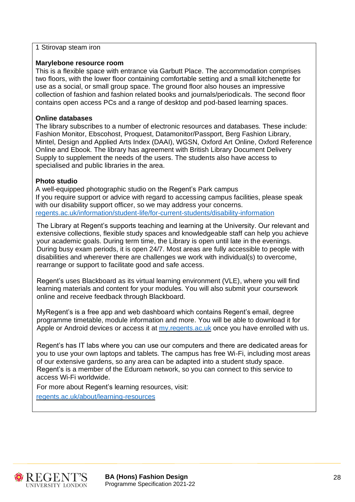1 Stirovap steam iron

#### **Marylebone resource room**

This is a flexible space with entrance via Garbutt Place. The accommodation comprises two floors, with the lower floor containing comfortable setting and a small kitchenette for use as a social, or small group space. The ground floor also houses an impressive collection of fashion and fashion related books and journals/periodicals. The second floor contains open access PCs and a range of desktop and pod-based learning spaces.

#### **Online databases**

The library subscribes to a number of electronic resources and databases. These include: Fashion Monitor, Ebscohost, Proquest, Datamonitor/Passport, Berg Fashion Library, Mintel, Design and Applied Arts Index (DAAI), WGSN, Oxford Art Online, Oxford Reference Online and Ebook. The library has agreement with British Library Document Delivery Supply to supplement the needs of the users. The students also have access to specialised and public libraries in the area.

#### **Photo studio**

A well-equipped photographic studio on the Regent's Park campus If you require support or advice with regard to accessing campus facilities, please speak with our disability support officer, so we may address your concerns. [regents.ac.uk/information/student-life/for-current-students/disability-information](https://www.regents.ac.uk/information/student-life/for-current-students/disability-information)

The Library at Regent's supports teaching and learning at the University. Our relevant and extensive collections, flexible study spaces and knowledgeable staff can help you achieve your academic goals. During term time, the Library is open until late in the evenings. During busy exam periods, it is open 24/7. Most areas are fully accessible to people with disabilities and wherever there are challenges we work with individual(s) to overcome, rearrange or support to facilitate good and safe access.

Regent's uses Blackboard as its virtual learning environment (VLE), where you will find learning materials and content for your modules. You will also submit your coursework online and receive feedback through Blackboard.

MyRegent's is a free app and web dashboard which contains Regent's email, degree programme timetable, module information and more. You will be able to download it for Apple or Android devices or access it at [my.regents.ac.uk](http://my.regents.ac.uk/) once you have enrolled with us.

Regent's has IT labs where you can use our computers and there are dedicated areas for you to use your own laptops and tablets. The campus has free Wi-Fi, including most areas of our extensive gardens, so any area can be adapted into a student study space. Regent's is a member of the Eduroam network, so you can connect to this service to access Wi-Fi worldwide.

For more about Regent's learning resources, visit:

[regents.ac.uk/about/learning-resources](https://www.regents.ac.uk/about/learning-resources)



**BA (Hons) Fashion Design** 28 Programme Specification 2021-22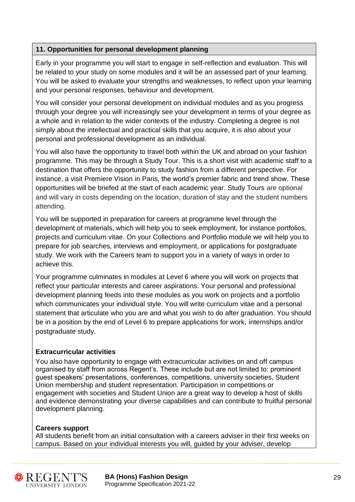# **11. Opportunities for personal development planning**

Early in your programme you will start to engage in self-reflection and evaluation. This will be related to your study on some modules and it will be an assessed part of your learning. You will be asked to evaluate your strengths and weaknesses, to reflect upon your learning and your personal responses, behaviour and development.

You will consider your personal development on individual modules and as you progress through your degree you will increasingly see your development in terms of your degree as a whole and in relation to the wider contexts of the industry. Completing a degree is not simply about the intellectual and practical skills that you acquire, it is also about your personal and professional development as an individual.

You will also have the opportunity to travel both within the UK and abroad on your fashion programme. This may be through a Study Tour. This is a short visit with academic staff to a destination that offers the opportunity to study fashion from a different perspective. For instance, a visit Premiere Vision in Paris, the world's premier fabric and trend show. These opportunities will be briefed at the start of each academic year. Study Tours are optional and will vary in costs depending on the location, duration of stay and the student numbers attending.

You will be supported in preparation for careers at programme level through the development of materials, which will help you to seek employment, for instance portfolios, projects and curriculum vitae. On your Collections and Portfolio module we will help you to prepare for job searches, interviews and employment, or applications for postgraduate study. We work with the Careers team to support you in a variety of ways in order to achieve this.

Your programme culminates in modules at Level 6 where you will work on projects that reflect your particular interests and career aspirations. Your personal and professional development planning feeds into these modules as you work on projects and a portfolio which communicates your individual style. You will write curriculum vitae and a personal statement that articulate who you are and what you wish to do after graduation. You should be in a position by the end of Level 6 to prepare applications for work, internships and/or postgraduate study.

# **Extracurricular activities**

You also have opportunity to engage with extracurricular activities on and off campus organised by staff from across Regent's. These include but are not limited to: prominent guest speakers' presentations, conferences, competitions, university societies, Student Union membership and student representation. Participation in competitions or engagement with societies and Student Union are a great way to develop a host of skills and evidence demonstrating your diverse capabilities and can contribute to fruitful personal development planning.

# **Careers support**

All students benefit from an initial consultation with a careers adviser in their first weeks on campus. Based on your individual interests you will, guided by your adviser, develop



**BA (Hons) Fashion Design** 29 Programme Specification 2021-22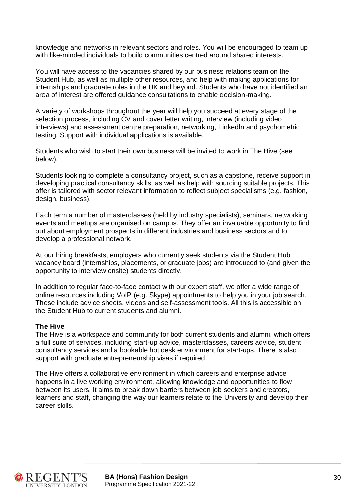knowledge and networks in relevant sectors and roles. You will be encouraged to team up with like-minded individuals to build communities centred around shared interests.

You will have access to the vacancies shared by our business relations team on the Student Hub, as well as multiple other resources, and help with making applications for internships and graduate roles in the UK and beyond. Students who have not identified an area of interest are offered guidance consultations to enable decision-making.

A variety of workshops throughout the year will help you succeed at every stage of the selection process, including CV and cover letter writing, interview (including video interviews) and assessment centre preparation, networking, LinkedIn and psychometric testing. Support with individual applications is available.

Students who wish to start their own business will be invited to work in The Hive (see below).

Students looking to complete a consultancy project, such as a capstone, receive support in developing practical consultancy skills, as well as help with sourcing suitable projects. This offer is tailored with sector relevant information to reflect subject specialisms (e.g. fashion, design, business).

Each term a number of masterclasses (held by industry specialists), seminars, networking events and meetups are organised on campus. They offer an invaluable opportunity to find out about employment prospects in different industries and business sectors and to develop a professional network.

At our hiring breakfasts, employers who currently seek students via the Student Hub vacancy board (internships, placements, or graduate jobs) are introduced to (and given the opportunity to interview onsite) students directly.

In addition to regular face-to-face contact with our expert staff, we offer a wide range of online resources including VoIP (e.g. Skype) appointments to help you in your job search. These include advice sheets, videos and self-assessment tools. All this is accessible on the Student Hub to current students and alumni.

#### **The Hive**

The Hive is a workspace and community for both current students and alumni, which offers a full suite of services, including start-up advice, masterclasses, careers advice, student consultancy services and a bookable hot desk environment for start-ups. There is also support with graduate entrepreneurship visas if required.

The Hive offers a collaborative environment in which careers and enterprise advice happens in a live working environment, allowing knowledge and opportunities to flow between its users. It aims to break down barriers between job seekers and creators, learners and staff, changing the way our learners relate to the University and develop their career skills.



**BA (Hons) Fashion Design 30 and 30 and 30 and 30 and 30 and 30 and 30 and 30 and 30 and 30 and 30 and 30 and 30 and 30 and 30 and 30 and 30 and 30 and 30 and 30 and 30 and 30 and 30 and 30 and 30 and 30 and 30 and 30 and** Programme Specification 2021-22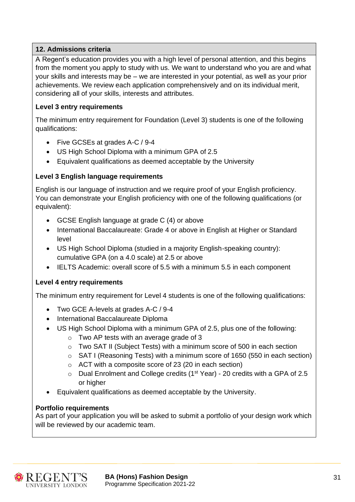# **12. Admissions criteria**

A Regent's education provides you with a high level of personal attention, and this begins from the moment you apply to study with us. We want to understand who you are and what your skills and interests may be – we are interested in your potential, as well as your prior achievements. We review each application comprehensively and on its individual merit, considering all of your skills, interests and attributes.

# **Level 3 entry requirements**

The minimum entry requirement for Foundation (Level 3) students is one of the following qualifications:

- Five GCSEs at grades A-C / 9-4
- US High School Diploma with a minimum GPA of 2.5
- Equivalent qualifications as deemed acceptable by the University

# **Level 3 English language requirements**

English is our language of instruction and we require proof of your English proficiency. You can demonstrate your English proficiency with one of the following qualifications (or equivalent):

- GCSE English language at grade C (4) or above
- International Baccalaureate: Grade 4 or above in English at Higher or Standard level
- US High School Diploma (studied in a majority English-speaking country): cumulative GPA (on a 4.0 scale) at 2.5 or above
- IELTS Academic: overall score of 5.5 with a minimum 5.5 in each component

#### **Level 4 entry requirements**

The minimum entry requirement for Level 4 students is one of the following qualifications:

- Two GCE A-levels at grades A-C / 9-4
- International Baccalaureate Diploma
- US High School Diploma with a minimum GPA of 2.5, plus one of the following:
	- o Two AP tests with an average grade of 3
	- $\circ$  Two SAT II (Subject Tests) with a minimum score of 500 in each section
	- o SAT I (Reasoning Tests) with a minimum score of 1650 (550 in each section)
	- o ACT with a composite score of 23 (20 in each section)
	- $\circ$  Dual Enrolment and College credits (1<sup>st</sup> Year) 20 credits with a GPA of 2.5 or higher
- Equivalent qualifications as deemed acceptable by the University.

#### **Portfolio requirements**

As part of your application you will be asked to submit a portfolio of your design work which will be reviewed by our academic team.



**BA (Hons) Fashion Design** 31 Programme Specification 2021-22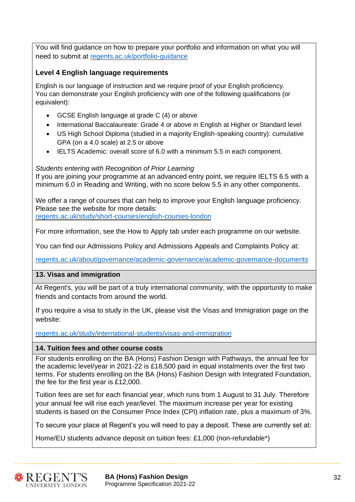You will find guidance on how to prepare your portfolio and information on what you will need to submit at [regents.ac.uk/portfolio-guidance](https://www.regents.ac.uk/portfolio-guidance)

# **Level 4 English language requirements**

English is our language of instruction and we require proof of your English proficiency. You can demonstrate your English proficiency with one of the following qualifications (or equivalent):

- GCSE English language at grade C (4) or above
- International Baccalaureate: Grade 4 or above in English at Higher or Standard level
- US High School Diploma (studied in a majority English-speaking country): cumulative GPA (on a 4.0 scale) at 2.5 or above
- IELTS Academic: overall score of 6.0 with a minimum 5.5 in each component.

#### *Students entering with Recognition of Prior Learning*

If you are joining your programme at an advanced entry point, we require IELTS 6.5 with a minimum 6.0 in Reading and Writing, with no score below 5.5 in any other components.

We offer a range of courses that can help to improve your English language proficiency. Please see the website for more details: [regents.ac.uk/study/short-courses/english-courses-london](https://www.regents.ac.uk/study/short-courses/english-courses-london)

For more information, see the How to Apply tab under each programme on our website.

You can find our Admissions Policy and Admissions Appeals and Complaints Policy at:

[regents.ac.uk/about/governance/academic-governance/academic-governance-documents](https://www.regents.ac.uk/about/governance/academic-governance/academic-governance-documents)

# **13. Visas and immigration**

At Regent's, you will be part of a truly international community, with the opportunity to make friends and contacts from around the world.

If you require a visa to study in the UK, please visit the Visas and Immigration page on the website:

[regents.ac.uk/study/international-students/visas-and-immigration](https://www.regents.ac.uk/study/international-students/visas-and-immigration)

#### **14. Tuition fees and other course costs**

For students enrolling on the BA (Hons) Fashion Design with Pathways, the annual fee for the academic level/year in 2021-22 is £18,500 paid in equal instalments over the first two terms. For students enrolling on the BA (Hons) Fashion Design with Integrated Foundation, the fee for the first year is £12,000.

Tuition fees are set for each financial year, which runs from 1 August to 31 July. Therefore your annual fee will rise each year/level. The maximum increase per year for existing students is based on the Consumer Price Index (CPI) inflation rate, plus a maximum of 3%.

To secure your place at Regent's you will need to pay a deposit. These are currently set at:

Home/EU students advance deposit on tuition fees: £1,000 (non-refundable\*)



**BA (Hons) Fashion Design** 32 Programme Specification 2021-22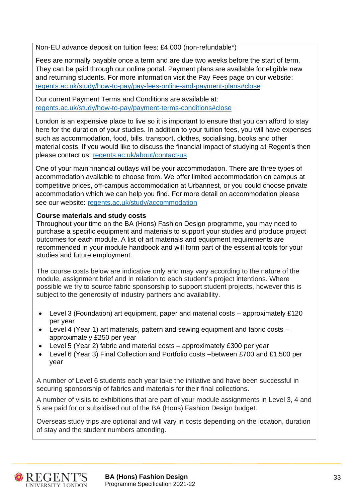Non-EU advance deposit on tuition fees: £4,000 (non-refundable\*)

Fees are normally payable once a term and are due two weeks before the start of term. They can be paid through our online portal. Payment plans are available for eligible new and returning students. For more information visit the Pay Fees page on our website: [regents.ac.uk/study/how-to-pay/pay-fees-online-and-payment-plans#close](https://www.regents.ac.uk/study/how-to-pay/pay-fees-online-and-payment-plans#close)

Our current Payment Terms and Conditions are available at: [regents.ac.uk/study/how-to-pay/payment-terms-conditions#close](https://www.regents.ac.uk/study/how-to-pay/payment-terms-conditions#close)

London is an expensive place to live so it is important to ensure that you can afford to stay here for the duration of your studies. In addition to your tuition fees, you will have expenses such as accommodation, food, bills, transport, clothes, socialising, books and other material costs. If you would like to discuss the financial impact of studying at Regent's then please contact us: [regents.ac.uk/about/contact-us](https://www.regents.ac.uk/about/contact-us)

One of your main financial outlays will be your accommodation. There are three types of accommodation available to choose from. We offer limited accommodation on campus at competitive prices, off-campus accommodation at Urbannest, or you could choose private accommodation which we can help you find. For more detail on accommodation please see our website: [regents.ac.uk/study/accommodation](https://www.regents.ac.uk/study/accommodation)

#### **Course materials and study costs**

Throughout your time on the BA (Hons) Fashion Design programme, you may need to purchase a specific equipment and materials to support your studies and produce project outcomes for each module. A list of art materials and equipment requirements are recommended in your module handbook and will form part of the essential tools for your studies and future employment.

The course costs below are indicative only and may vary according to the nature of the module, assignment brief and in relation to each student's project intentions. Where possible we try to source fabric sponsorship to support student projects, however this is subject to the generosity of industry partners and availability.

- Level 3 (Foundation) art equipment, paper and material costs approximately  $£120$ per year
- Level 4 (Year 1) art materials, pattern and sewing equipment and fabric costs approximately £250 per year
- Level 5 (Year 2) fabric and material costs approximately £300 per year
- Level 6 (Year 3) Final Collection and Portfolio costs –between £700 and £1,500 per year

A number of Level 6 students each year take the initiative and have been successful in securing sponsorship of fabrics and materials for their final collections.

A number of visits to exhibitions that are part of your module assignments in Level 3, 4 and 5 are paid for or subsidised out of the BA (Hons) Fashion Design budget.

Overseas study trips are optional and will vary in costs depending on the location, duration of stay and the student numbers attending.

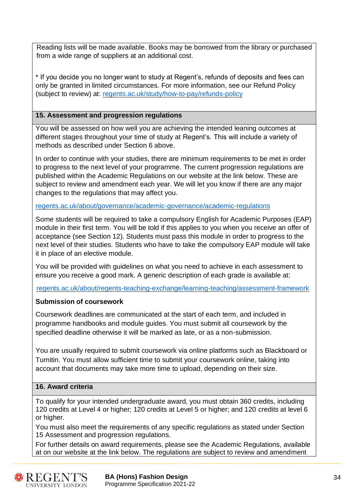Reading lists will be made available. Books may be borrowed from the library or purchased from a wide range of suppliers at an additional cost.

\* If you decide you no longer want to study at Regent's, refunds of deposits and fees can only be granted in limited circumstances. For more information, see our Refund Policy (subject to review) at: [regents.ac.uk/study/how-to-pay/refunds-policy](https://www.regents.ac.uk/study/how-to-pay/refunds-policy)

### **15. Assessment and progression regulations**

You will be assessed on how well you are achieving the intended leaning outcomes at different stages throughout your time of study at Regent's. This will include a variety of methods as described under Section 6 above.

In order to continue with your studies, there are minimum requirements to be met in order to progress to the next level of your programme. The current progression regulations are published within the Academic Regulations on our website at the link below. These are subject to review and amendment each year. We will let you know if there are any major changes to the regulations that may affect you.

[regents.ac.uk/about/governance/academic-governance/academic-regulations](https://www.regents.ac.uk/about/governance/academic-governance/academic-regulations)

Some students will be required to take a compulsory English for Academic Purposes (EAP) module in their first term. You will be told if this applies to you when you receive an offer of acceptance (see Section 12). Students must pass this module in order to progress to the next level of their studies. Students who have to take the compulsory EAP module will take it in place of an elective module.

You will be provided with guidelines on what you need to achieve in each assessment to ensure you receive a good mark. A generic description of each grade is available at:

[regents.ac.uk/about/regents-teaching-exchange/learning-teaching/assessment-framework](https://www.regents.ac.uk/about/regents-teaching-exchange/learning-teaching/assessment-framework)

#### **Submission of coursework**

Coursework deadlines are communicated at the start of each term, and included in programme handbooks and module guides. You must submit all coursework by the specified deadline otherwise it will be marked as late, or as a non-submission.

You are usually required to submit coursework via online platforms such as Blackboard or Turnitin. You must allow sufficient time to submit your coursework online, taking into account that documents may take more time to upload, depending on their size.

# **16. Award criteria**

To qualify for your intended undergraduate award, you must obtain 360 credits, including 120 credits at Level 4 or higher; 120 credits at Level 5 or higher; and 120 credits at level 6 or higher.

You must also meet the requirements of any specific regulations as stated under Section 15 Assessment and progression regulations.

For further details on award requirements, please see the Academic Regulations, available at on our website at the link below. The regulations are subject to review and amendment



**BA (Hons) Fashion Design** 34 Programme Specification 2021-22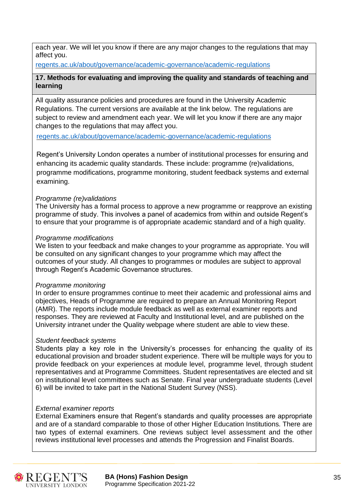each year. We will let you know if there are any major changes to the regulations that may affect you.

[regents.ac.uk/about/governance/academic-governance/academic-regulations](https://www.regents.ac.uk/about/governance/academic-governance/academic-regulations)

# **17. Methods for evaluating and improving the quality and standards of teaching and learning**

All quality assurance policies and procedures are found in the University Academic Regulations. The current versions are available at the link below. The regulations are subject to review and amendment each year. We will let you know if there are any major changes to the regulations that may affect you.

[regents.ac.uk/about/governance/academic-governance/academic-regulations](https://www.regents.ac.uk/about/governance/academic-governance/academic-regulations)

Regent's University London operates a number of institutional processes for ensuring and enhancing its academic quality standards. These include: programme (re)validations, programme modifications, programme monitoring, student feedback systems and external examining.

#### *Programme (re)validations*

The University has a formal process to approve a new programme or reapprove an existing programme of study. This involves a panel of academics from within and outside Regent's to ensure that your programme is of appropriate academic standard and of a high quality.

#### *Programme modifications*

We listen to your feedback and make changes to your programme as appropriate. You will be consulted on any significant changes to your programme which may affect the outcomes of your study. All changes to programmes or modules are subject to approval through Regent's Academic Governance structures.

#### *Programme monitoring*

In order to ensure programmes continue to meet their academic and professional aims and objectives, Heads of Programme are required to prepare an Annual Monitoring Report (AMR). The reports include module feedback as well as external examiner reports and responses. They are reviewed at Faculty and Institutional level, and are published on the University intranet under the Quality webpage where student are able to view these.

#### *Student feedback systems*

Students play a key role in the University's processes for enhancing the quality of its educational provision and broader student experience. There will be multiple ways for you to provide feedback on your experiences at module level, programme level, through student representatives and at Programme Committees. Student representatives are elected and sit on institutional level committees such as Senate. Final year undergraduate students (Level 6) will be invited to take part in the National Student Survey (NSS).

#### *External examiner reports*

External Examiners ensure that Regent's standards and quality processes are appropriate and are of a standard comparable to those of other Higher Education Institutions. There are two types of external examiners. One reviews subject level assessment and the other reviews institutional level processes and attends the Progression and Finalist Boards.



**BA (Hons) Fashion Design** 35 Programme Specification 2021-22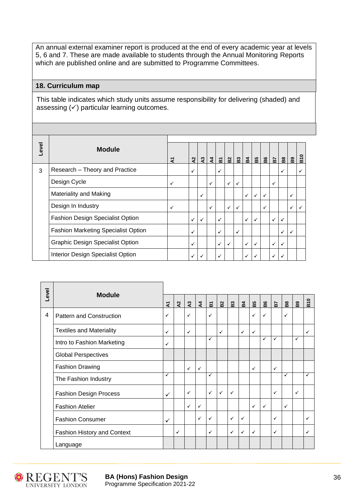An annual external examiner report is produced at the end of every academic year at levels 5, 6 and 7. These are made available to students through the Annual Monitoring Reports which are published online and are submitted to Programme Committees.

#### **18. Curriculum map**

This table indicates which study units assume responsibility for delivering (shaded) and assessing  $(v)$  particular learning outcomes.

|   | Level<br><b>Module</b>                     |   |              |               |               |   |              |              |              |              |   |                |              |                |            |
|---|--------------------------------------------|---|--------------|---------------|---------------|---|--------------|--------------|--------------|--------------|---|----------------|--------------|----------------|------------|
|   |                                            | হ | $\mathbf{z}$ | $\frac{3}{2}$ | $\frac{4}{3}$ | ៰ | $\mathbf{g}$ | $\mathbf{g}$ | $B$ 4        | B5           |   | $\frac{5}{16}$ | $\mathbf{g}$ | B <sub>9</sub> | <b>B10</b> |
| 3 | Research - Theory and Practice             |   | $\checkmark$ |               |               | ✓ |              |              |              |              |   |                | ✓            |                | ✓          |
|   | Design Cycle                               | ✓ |              |               | ✓             |   | ✓            | $\checkmark$ |              |              |   | ✓              |              |                |            |
|   | Materiality and Making                     |   |              | $\checkmark$  |               |   |              |              | $\checkmark$ | $\checkmark$ | ✓ |                |              | ✓              |            |
|   | Design In Industry                         | ✓ |              |               | ✓             |   | ✓            | $\checkmark$ |              |              | ✓ |                |              | ✓              | ✓          |
|   | Fashion Design Specialist Option           |   | $\checkmark$ | $\checkmark$  |               | ✓ |              |              | $\checkmark$ | ✓            |   | ✓              | ✓            |                |            |
|   | <b>Fashion Marketing Specialist Option</b> |   | $\checkmark$ |               |               | ✓ |              | $\checkmark$ |              |              |   |                | ✓            | $\checkmark$   |            |
|   | <b>Graphic Design Specialist Option</b>    |   | ✓            |               |               | ✓ | ✓            |              | ✓            | ✓            |   | ✓              | ✓            |                |            |
|   | Interior Design Specialist Option          |   | $\checkmark$ | ✓             |               | ✓ |              |              | $\checkmark$ | ✓            |   | ✓              | √            |                |            |

|       | <b>Module</b>                   |              |              |                |                |                         |                |              |                |              |              |              |              |              |              |
|-------|---------------------------------|--------------|--------------|----------------|----------------|-------------------------|----------------|--------------|----------------|--------------|--------------|--------------|--------------|--------------|--------------|
| Level |                                 | হ            | $\mathbf{r}$ | $\mathbf{a}^3$ | $\overline{A}$ | $\overline{\mathbf{a}}$ | $\mathbf{B}^2$ | B3           | B <sub>4</sub> | B5           | B6           | 57           | $\mathbf{g}$ | $\mathbf{B}$ | <b>B10</b>   |
| 4     | Pattern and Construction        | $\checkmark$ |              | ✓              |                | ✓                       |                |              |                | $\checkmark$ | ✓            |              | $\checkmark$ |              |              |
|       | <b>Textiles and Materiality</b> | $\checkmark$ |              | ✓              |                |                         | ✓              |              | $\checkmark$   | $\checkmark$ |              |              |              |              | $\checkmark$ |
|       | Intro to Fashion Marketing      | ✓            |              |                |                | ✓                       |                |              |                |              | ✓            | ✓            |              | ✓            |              |
|       | <b>Global Perspectives</b>      |              |              |                |                |                         |                |              |                |              |              |              |              |              |              |
|       | <b>Fashion Drawing</b>          |              |              | ✓              | $\checkmark$   |                         |                |              |                | $\checkmark$ |              | $\checkmark$ |              |              |              |
|       | The Fashion Industry            | ✓            |              |                |                | ✓                       |                |              |                |              |              |              | ✓            |              | √            |
|       | <b>Fashion Design Process</b>   | ✓            |              | ✓              |                | $\checkmark$            | ✓              | $\checkmark$ |                |              |              | $\checkmark$ |              | $\checkmark$ |              |
|       | <b>Fashion Atelier</b>          |              |              | ✓              | ✓              |                         |                |              |                | $\checkmark$ | $\checkmark$ |              | $\checkmark$ |              |              |
|       | <b>Fashion Consumer</b>         | ✓            |              |                | ✓              | ✓                       |                | ✓            | $\checkmark$   |              |              | $\checkmark$ |              |              | ✓            |
|       | Fashion History and Context     |              | ✓            |                |                | ✓                       |                | ✓            | $\checkmark$   | $\checkmark$ |              | ✓            |              |              | ✓            |
|       | Language                        |              |              |                |                |                         |                |              |                |              |              |              |              |              |              |



**BA (Hons) Fashion Design 36** Programme Specification 2021-22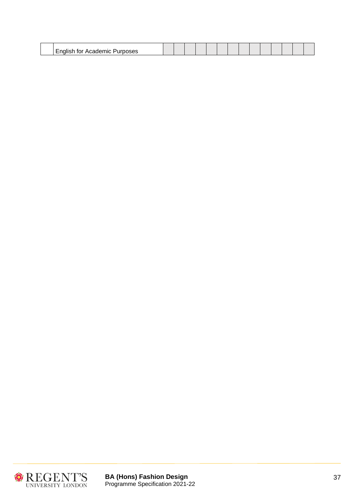| -<br> |  |  |  |  |  |  |  |
|-------|--|--|--|--|--|--|--|
|       |  |  |  |  |  |  |  |



 $\overline{1}$ 

**BA (Hons) Fashion Design** 37 Programme Specification 2021-22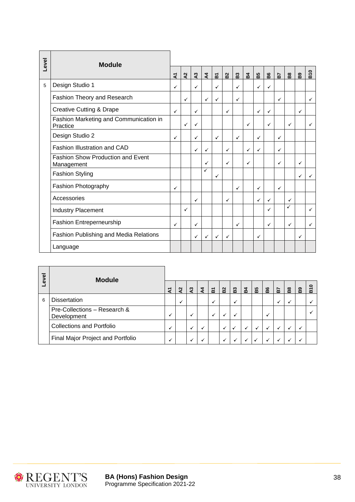| Level | <b>Module</b>                                          |              |              |                |                |                         |                |              |              |    |              |              |              |          |              |
|-------|--------------------------------------------------------|--------------|--------------|----------------|----------------|-------------------------|----------------|--------------|--------------|----|--------------|--------------|--------------|----------|--------------|
|       |                                                        |              | $\lambda$    | $\overline{a}$ | $\overline{A}$ | $\overline{\mathbf{a}}$ | $\mathbf{B}^2$ | ដ            | $\mathbf{z}$ | 55 | 8g           | <b>Fa</b>    | $\mathbf{g}$ | <b>B</b> | B10          |
| 5     | Design Studio 1                                        | ✓            |              | ✓              |                | ✓                       |                | ✓            |              | ✓  | ✓            |              |              |          |              |
|       | Fashion Theory and Research                            |              | $\checkmark$ |                | ✓              | $\checkmark$            |                | ✓            |              |    |              | $\checkmark$ |              |          | $\checkmark$ |
|       | <b>Creative Cutting &amp; Drape</b>                    | $\checkmark$ |              | ✓              |                |                         | ✓              |              |              | ✓  | $\checkmark$ |              |              | ✓        |              |
|       | Fashion Marketing and Communication in<br>Practice     |              | $\checkmark$ | ✓              |                |                         |                |              | ✓            |    | ✓            |              | ✓            |          | ✓            |
|       | Design Studio 2                                        | $\checkmark$ |              | ✓              |                | $\checkmark$            |                | $\checkmark$ |              | ✓  |              | $\checkmark$ |              |          |              |
|       | <b>Fashion Illustration and CAD</b>                    |              |              | ✓              | ✓              |                         | ✓              |              | ✓            | ✓  |              | $\checkmark$ |              |          |              |
|       | <b>Fashion Show Production and Event</b><br>Management |              |              |                | ✓              |                         | $\checkmark$   |              | ✓            |    |              | $\checkmark$ |              | ✓        |              |
|       | <b>Fashion Styling</b>                                 |              |              |                | ✓              | ✓                       |                |              |              |    |              |              |              | ✓        | ✓            |
|       | Fashion Photography                                    | ✓            |              |                |                |                         |                | ✓            |              | ✓  |              | $\checkmark$ |              |          |              |
|       | Accessories                                            |              |              | ✓              |                |                         | ✓              |              |              | ✓  | ✓            |              | ✓            |          |              |
|       | <b>Industry Placement</b>                              |              | $\checkmark$ |                |                |                         |                |              |              |    | $\checkmark$ |              | ✓            |          | ✓            |
|       | Fashion Entreperneurship                               | $\checkmark$ |              | ✓              |                |                         |                | ✓            |              |    | ✓            |              | $\checkmark$ |          | ✓            |
|       | Fashion Publishing and Media Relations                 |              |              | ✓              | ✓              | $\checkmark$            | $\checkmark$   |              |              | ✓  |              |              |              | ✓        |              |
|       | Language                                               |              |              |                |                |                         |                |              |              |    |              |              |              |          |              |

| evel | <b>Module</b>                               |   |                           |                       |                |                |                |               |                |    |    |    |                |          |        |
|------|---------------------------------------------|---|---------------------------|-----------------------|----------------|----------------|----------------|---------------|----------------|----|----|----|----------------|----------|--------|
|      |                                             | হ | $\boldsymbol{\mathsf{S}}$ | $\boldsymbol{\Omega}$ | $\overline{4}$ | $\overline{a}$ | B <sub>2</sub> | $\mathbf{B}3$ | B <sub>4</sub> | B5 | B6 | P. | $\overline{a}$ | <b>a</b> | c<br>m |
| 6    | <b>Dissertation</b>                         |   | ✓                         |                       |                |                |                | v             |                |    |    | √  |                |          |        |
|      | Pre-Collections - Research &<br>Development | √ |                           |                       |                | ✓              | ↵              | ↵             |                |    |    |    |                |          |        |
|      | <b>Collections and Portfolio</b>            | √ |                           |                       |                |                | √              |               | ✓              | √  | ↵  | √  |                | ↵        |        |
|      | Final Major Project and Portfolio           | ✓ |                           |                       |                |                | ✓              |               |                |    |    |    |                |          |        |



**BA (Hons) Fashion Design** 38 Programme Specification 2021-22